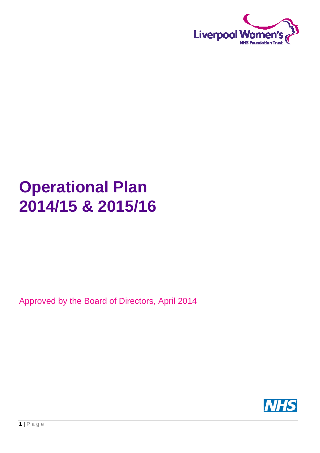

# **Operational Plan 2014/15 & 2015/16**

# Approved by the Board of Directors, April 2014

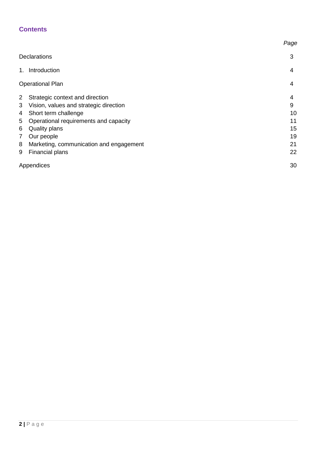## **Contents**

|                |                                         | Page |
|----------------|-----------------------------------------|------|
|                | <b>Declarations</b>                     | 3    |
| 1.             | Introduction                            | 4    |
|                | <b>Operational Plan</b>                 | 4    |
| $\overline{2}$ | Strategic context and direction         | 4    |
| 3              | Vision, values and strategic direction  | 9    |
| 4              | Short term challenge                    | 10   |
| 5              | Operational requirements and capacity   | 11   |
| 6              | <b>Quality plans</b>                    | 15   |
| 7              | Our people                              | 19   |
| 8              | Marketing, communication and engagement | 21   |
| 9              | <b>Financial plans</b>                  | 22   |
|                | Appendices                              | 30   |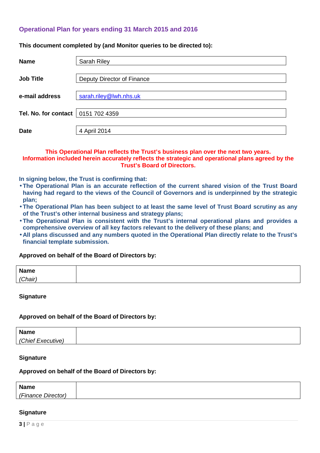#### **Operational Plan for years ending 31 March 2015 and 2016**

**This document completed by (and Monitor queries to be directed to):** 

| <b>Name</b>          | <b>Sarah Riley</b>         |
|----------------------|----------------------------|
| <b>Job Title</b>     | Deputy Director of Finance |
| e-mail address       | sarah.riley@lwh.nhs.uk     |
| Tel. No. for contact | 0151 702 4359              |
| <b>Date</b>          | 4 April 2014               |

#### **This Operational Plan reflects the Trust's business plan over the next two years. Information included herein accurately reflects the strategic and operational plans agreed by the Trust's Board of Directors.**

**In signing below, the Trust is confirming that:** 

- **The Operational Plan is an accurate reflection of the current shared vision of the Trust Board having had regard to the views of the Council of Governors and is underpinned by the strategic plan;**
- **The Operational Plan has been subject to at least the same level of Trust Board scrutiny as any of the Trust's other internal business and strategy plans;**
- **The Operational Plan is consistent with the Trust's internal operational plans and provides a comprehensive overview of all key factors relevant to the delivery of these plans; and**
- **All plans discussed and any numbers quoted in the Operational Plan directly relate to the Trust's financial template submission.**

#### **Approved on behalf of the Board of Directors by:**

| <b>Name</b> |  |
|-------------|--|
| (Chair)     |  |

**Signature** 

#### **Approved on behalf of the Board of Directors by:**

| <b>Name</b><br>------   |  |
|-------------------------|--|
| (Chief Exec)<br>autive. |  |

#### **Signature**

#### **Approved on behalf of the Board of Directors by:**

| <b>Name</b>        |  |
|--------------------|--|
| (Finance Director) |  |

#### **Signature**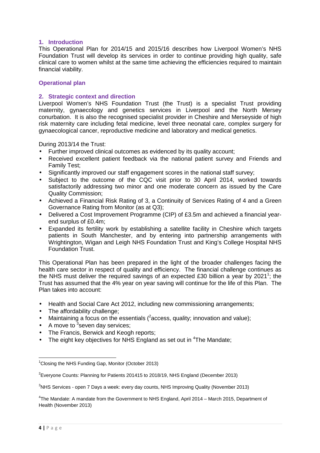#### **1. Introduction**

This Operational Plan for 2014/15 and 2015/16 describes how Liverpool Women's NHS Foundation Trust will develop its services in order to continue providing high quality, safe clinical care to women whilst at the same time achieving the efficiencies required to maintain financial viability.

#### **Operational plan**

#### **2. Strategic context and direction**

Liverpool Women's NHS Foundation Trust (the Trust) is a specialist Trust providing maternity, gynaecology and genetics services in Liverpool and the North Mersey conurbation. It is also the recognised specialist provider in Cheshire and Merseyside of high risk maternity care including fetal medicine, level three neonatal care, complex surgery for gynaecological cancer, reproductive medicine and laboratory and medical genetics.

During 2013/14 the Trust:

- Further improved clinical outcomes as evidenced by its quality account;
- Received excellent patient feedback via the national patient survey and Friends and Family Test;
- Significantly improved our staff engagement scores in the national staff survey;
- Subject to the outcome of the CQC visit prior to 30 April 2014, worked towards satisfactorily addressing two minor and one moderate concern as issued by the Care Quality Commission;
- Achieved a Financial Risk Rating of 3, a Continuity of Services Rating of 4 and a Green Governance Rating from Monitor (as at Q3);
- Delivered a Cost Improvement Programme (CIP) of £3.5m and achieved a financial yearend surplus of £0.4m;
- Expanded its fertility work by establishing a satellite facility in Cheshire which targets patients in South Manchester, and by entering into partnership arrangements with Wrightington, Wigan and Leigh NHS Foundation Trust and King's College Hospital NHS Foundation Trust.

This Operational Plan has been prepared in the light of the broader challenges facing the health care sector in respect of quality and efficiency. The financial challenge continues as the NHS must deliver the required savings of an expected £30 billion a year by 2021<sup>1</sup>; the Trust has assumed that the 4% year on year saving will continue for the life of this Plan. The Plan takes into account:

- Health and Social Care Act 2012, including new commissioning arrangements;
- The affordability challenge:
- Maintaining a focus on the essentials  $(^2$  access, quality; innovation and value);
- A move to  $3$ seven day services;
- The Francis, Berwick and Keogh reports;
- The eight key objectives for NHS England as set out in  $4$ The Mandate;

 $3$ NHS Services - open 7 Days a week: every day counts, NHS Improving Quality (November 2013)

<sup>4</sup>The Mandate: A mandate from the Government to NHS England, April 2014 – March 2015, Department of Health (November 2013)

 $\overline{\phantom{0}}$ 

 $1$ Closing the NHS Funding Gap, Monitor (October 2013)

 $2$ Everyone Counts: Planning for Patients 201415 to 2018/19, NHS England (December 2013)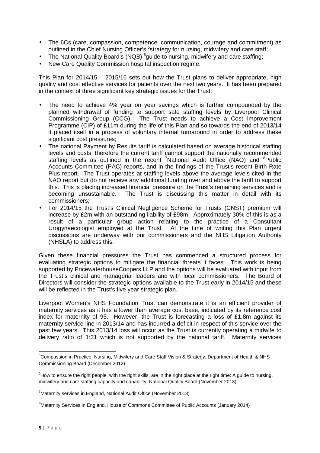- The 6Cs (care, compassion, competence, communication, courage and commitment) as outlined in the Chief Nursing Officer's <sup>5</sup>strategy for nursing, midwifery and care staff;
- The National Quality Board's (NQB)  $^6$ guide to nursing, midwifery and care staffing;
- New Care Quality Commission hospital inspection regime.

This Plan for 2014/15 – 2015/16 sets out how the Trust plans to deliver appropriate, high quality and cost effective services for patients over the next two years. It has been prepared in the context of three significant key strategic issues for the Trust:

- The need to achieve 4% year on year savings which is further compounded by the planned withdrawal of funding to support safe staffing levels by Liverpool Clinical Commissioning Group (CCG). The Trust needs to achieve a Cost Improvement Programme (CIP) of £11m during the life of this Plan and so towards the end of 2013/14 it placed itself in a process of voluntary internal turnaround in order to address these significant cost pressures;
- The national Payment by Results tariff is calculated based on average historical staffing levels and costs, therefore the current tariff cannot support the nationally recommended staffing levels as outlined in the recent <sup>7</sup>National Audit Office (NAO) and  ${}^{8}$ Public Accounts Committee (PAC) reports, and in the findings of the Trust's recent Birth Rate Plus report. The Trust operates at staffing levels above the average levels cited in the NAO report but do not receive any additional funding over and above the tariff to support this. This is placing increased financial pressure on the Trust's remaining services and is becoming unsustainable. The Trust is discussing this matter in detail with its commissioners;
- For 2014/15 the Trust's Clinical Negligence Scheme for Trusts (CNST) premium will increase by £2m with an outstanding liability of £98m. Approximately 30% of this is as a result of a particular group action relating to the practice of a Consultant Urogynaecologist employed at the Trust. At the time of writing this Plan urgent discussions are underway with our commissioners and the NHS Litigation Authority (NHSLA) to address this.

Given these financial pressures the Trust has commenced a structured process for evaluating strategic options to mitigate the financial threats it faces. This work is being supported by PricewaterhouseCoopers LLP and the options will be evaluated with input from the Trust's clinical and managerial leaders and with local commissioners. The Board of Directors will consider the strategic options available to the Trust early in 2014/15 and these will be reflected in the Trust's five year strategic plan.

Liverpool Women's NHS Foundation Trust can demonstrate it is an efficient provider of maternity services as it has a lower than average cost base, indicated by its reference cost index for maternity of 95. However, the Trust is forecasting a loss of £1.8m against its maternity service line in 2013/14 and has incurred a deficit in respect of this service over the past few years. This 2013/14 loss will occur as the Trust is currently operating a midwife to delivery ratio of 1:31 which is not supported by the national tariff. Maternity services

l

<sup>5</sup>Compassion in Practice: Nursing, Midwifery and Care Staff Vision & Strategy, Department of Health & NHS Commissioning Board (December 2012)

 $6$ How to ensure the right people, with the right skills, are in the right place at the right time: A guide to nursing, midwifery and care staffing capacity and capability, National Quality Board (November 2013)

<sup>&</sup>lt;sup>7</sup>Maternity services in England, National Audit Office (November 2013)

<sup>8</sup>Maternity Services in England, House of Commons Committee of Public Accounts (January 2014)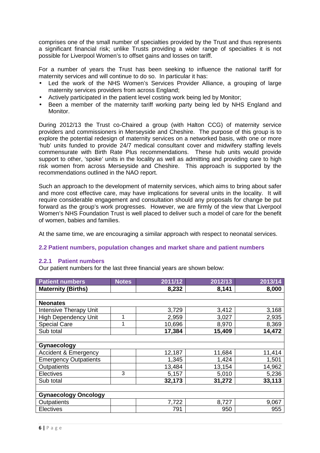comprises one of the small number of specialties provided by the Trust and thus represents a significant financial risk; unlike Trusts providing a wider range of specialties it is not possible for Liverpool Women's to offset gains and losses on tariff.

For a number of years the Trust has been seeking to influence the national tariff for maternity services and will continue to do so. In particular it has:

- Led the work of the NHS Women's Services Provider Alliance, a grouping of large maternity services providers from across England;
- Actively participated in the patient level costing work being led by Monitor;
- Been a member of the maternity tariff working party being led by NHS England and Monitor.

During 2012/13 the Trust co-Chaired a group (with Halton CCG) of maternity service providers and commissioners in Merseyside and Cheshire. The purpose of this group is to explore the potential redesign of maternity services on a networked basis, with one or more 'hub' units funded to provide 24/7 medical consultant cover and midwifery staffing levels commensurate with Birth Rate Plus recommendations. These hub units would provide support to other, 'spoke' units in the locality as well as admitting and providing care to high risk women from across Merseyside and Cheshire. This approach is supported by the recommendations outlined in the NAO report.

Such an approach to the development of maternity services, which aims to bring about safer and more cost effective care, may have implications for several units in the locality. It will require considerable engagement and consultation should any proposals for change be put forward as the group's work progresses. However, we are firmly of the view that Liverpool Women's NHS Foundation Trust is well placed to deliver such a model of care for the benefit of women, babies and families.

At the same time, we are encouraging a similar approach with respect to neonatal services.

#### **2.2 Patient numbers, population changes and market share and patient numbers**

#### **2.2.1 Patient numbers**

Our patient numbers for the last three financial years are shown below:

| <b>Patient numbers</b>          | <b>Notes</b> | 2011/12 | 2012/13 | 2013/14 |  |
|---------------------------------|--------------|---------|---------|---------|--|
| <b>Maternity (Births)</b>       |              | 8,232   | 8,141   | 8,000   |  |
|                                 |              |         |         |         |  |
| <b>Neonates</b>                 |              |         |         |         |  |
| Intensive Therapy Unit          |              | 3,729   | 3,412   | 3,168   |  |
| <b>High Dependency Unit</b>     |              | 2,959   | 3,027   | 2,935   |  |
| <b>Special Care</b>             |              | 10,696  | 8,970   | 8,369   |  |
| Sub total                       |              | 17,384  | 15,409  | 14,472  |  |
|                                 |              |         |         |         |  |
| Gynaecology                     |              |         |         |         |  |
| <b>Accident &amp; Emergency</b> |              | 12,187  | 11,684  | 11,414  |  |
| <b>Emergency Outpatients</b>    |              | 1,345   | 1,424   | 1,501   |  |
| Outpatients                     |              | 13,484  | 13,154  | 14,962  |  |
| <b>Electives</b>                | 3            | 5,157   | 5,010   | 5,236   |  |
| Sub total                       |              | 32,173  | 31,272  | 33,113  |  |
|                                 |              |         |         |         |  |
| <b>Gynaecology Oncology</b>     |              |         |         |         |  |
| Outpatients                     |              | 7,722   | 8,727   | 9,067   |  |
| <b>Electives</b>                |              | 791     | 950     | 955     |  |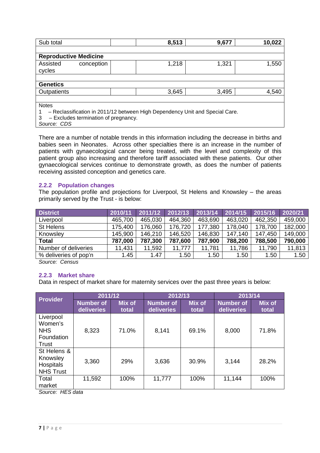| Sub total                                                                                                                 | 8,513 | 9,677 | 10,022 |
|---------------------------------------------------------------------------------------------------------------------------|-------|-------|--------|
|                                                                                                                           |       |       |        |
| <b>Reproductive Medicine</b>                                                                                              |       |       |        |
| Assisted<br>conception<br>cycles                                                                                          | 1,218 | 1,321 | 1,550  |
|                                                                                                                           |       |       |        |
| <b>Genetics</b>                                                                                                           |       |       |        |
| Outpatients                                                                                                               | 3,645 | 3,495 | 4,540  |
|                                                                                                                           |       |       |        |
| <b>Notes</b>                                                                                                              |       |       |        |
| - Reclassification in 2011/12 between High Dependency Unit and Special Care.<br>- Excludes termination of pregnancy.<br>3 |       |       |        |

Source: CDS

There are a number of notable trends in this information including the decrease in births and babies seen in Neonates. Across other specialties there is an increase in the number of patients with gynaecological cancer being treated, with the level and complexity of this patient group also increasing and therefore tariff associated with these patients. Our other gynaecological services continue to demonstrate growth, as does the number of patients receiving assisted conception and genetics care.

#### **2.2.2 Population changes**

The population profile and projections for Liverpool, St Helens and Knowsley – the areas primarily served by the Trust - is below:

| <b>District</b>       | 2010/11 | 2011/12 | 2012/13 | 2013/14 | 2014/15 | 2015/16 | 2020/21 |
|-----------------------|---------|---------|---------|---------|---------|---------|---------|
| Liverpool             | 465,700 | 465,030 | 464,360 | 463,690 | 463,020 | 462,350 | 459,000 |
| St Helens             | 175,400 | 176,060 | 176,720 | 177,380 | 178,040 | 178,700 | 182,000 |
| Knowsley              | 145,900 | 146,210 | 146,520 | 146,830 | 147,140 | 147,450 | 149,000 |
| <b>Total</b>          | 787,000 | 787,300 | 787,600 | 787,900 | 788,200 | 788,500 | 790,000 |
| Number of deliveries  | 11,431  | 11,592  | 11.777  | 11,781  | 11,786  | 11,790  | 11,813  |
| % deliveries of pop'n | 1.45    | 1.47    | 1.50    | 1.50    | 1.50    | 1.50    | 1.50    |

Source: Census

#### **2.2.3 Market share**

Data in respect of market share for maternity services over the past three years is below:

|                                                           | 2011/12                        |                        | 2012/13                        |                        | 2013/14                        |                        |
|-----------------------------------------------------------|--------------------------------|------------------------|--------------------------------|------------------------|--------------------------------|------------------------|
| Provider                                                  | <b>Number of</b><br>deliveries | <b>Mix of</b><br>total | <b>Number of</b><br>deliveries | <b>Mix of</b><br>total | <b>Number of</b><br>deliveries | <b>Mix of</b><br>total |
| Liverpool<br>Women's<br><b>NHS</b><br>Foundation<br>Trust | 8,323                          | 71.0%                  | 8,141                          | 69.1%                  | 8,000                          | 71.8%                  |
| St Helens &<br>Knowsley<br>Hospitals<br><b>NHS Trust</b>  | 3,360                          | 29%                    | 3,636                          | 30.9%                  | 3,144                          | 28.2%                  |
| Total<br>market                                           | 11,592                         | 100%                   | 11,777                         | 100%                   | 11,144                         | 100%                   |

Source: HES data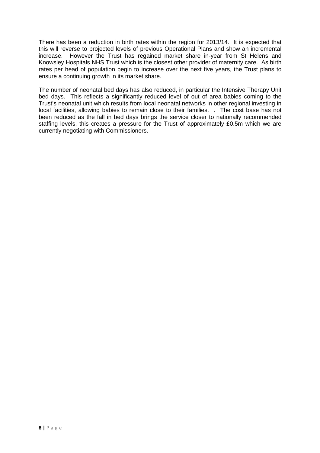There has been a reduction in birth rates within the region for 2013/14. It is expected that this will reverse to projected levels of previous Operational Plans and show an incremental increase. However the Trust has regained market share in-year from St Helens and Knowsley Hospitals NHS Trust which is the closest other provider of maternity care. As birth rates per head of population begin to increase over the next five years, the Trust plans to ensure a continuing growth in its market share.

The number of neonatal bed days has also reduced, in particular the Intensive Therapy Unit bed days. This reflects a significantly reduced level of out of area babies coming to the Trust's neonatal unit which results from local neonatal networks in other regional investing in local facilities, allowing babies to remain close to their families. . The cost base has not been reduced as the fall in bed days brings the service closer to nationally recommended staffing levels, this creates a pressure for the Trust of approximately £0.5m which we are currently negotiating with Commissioners.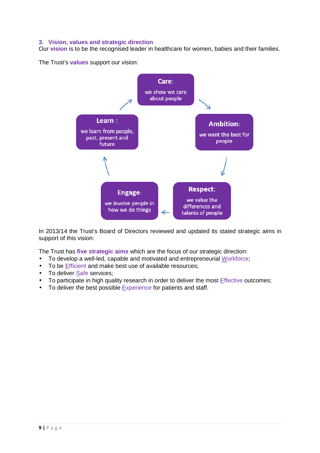#### **3. Vision, values and strategic direction**

Our **vision** is to be the recognised leader in healthcare for women, babies and their families.

The Trust's **values** support our vision:



In 2013/14 the Trust's Board of Directors reviewed and updated its stated strategic aims in support of this vision:

The Trust has **five strategic aims** which are the focus of our strategic direction:

- To develop a well-led, capable and motivated and entrepreneurial Workforce;
- To be *Efficient* and make best use of available resources;
- To deliver Safe services;
- To participate in high quality research in order to deliver the most Effective outcomes;
- To deliver the best possible Experience for patients and staff.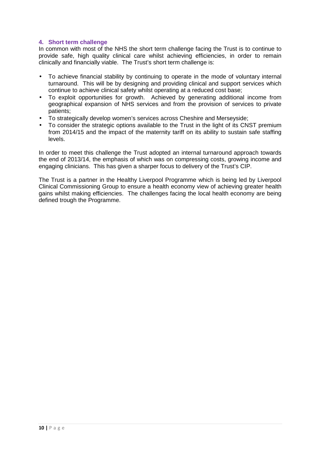#### **4. Short term challenge**

In common with most of the NHS the short term challenge facing the Trust is to continue to provide safe, high quality clinical care whilst achieving efficiencies, in order to remain clinically and financially viable. The Trust's short term challenge is:

- To achieve financial stability by continuing to operate in the mode of voluntary internal turnaround. This will be by designing and providing clinical and support services which continue to achieve clinical safety whilst operating at a reduced cost base;
- To exploit opportunities for growth. Achieved by generating additional income from geographical expansion of NHS services and from the provision of services to private patients;
- To strategically develop women's services across Cheshire and Merseyside;
- To consider the strategic options available to the Trust in the light of its CNST premium from 2014/15 and the impact of the maternity tariff on its ability to sustain safe staffing levels.

In order to meet this challenge the Trust adopted an internal turnaround approach towards the end of 2013/14, the emphasis of which was on compressing costs, growing income and engaging clinicians. This has given a sharper focus to delivery of the Trust's CIP.

The Trust is a partner in the Healthy Liverpool Programme which is being led by Liverpool Clinical Commissioning Group to ensure a health economy view of achieving greater health gains whilst making efficiencies. The challenges facing the local health economy are being defined trough the Programme.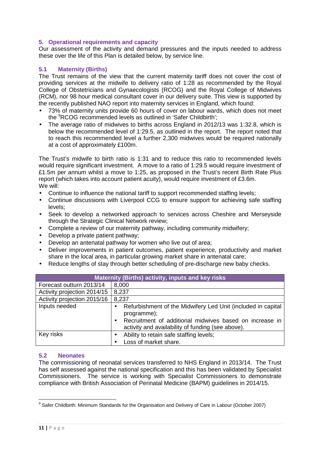#### **5. Operational requirements and capacity**

Our assessment of the activity and demand pressures and the inputs needed to address these over the life of this Plan is detailed below, by service line.

#### **5.1 Maternity (Births)**

The Trust remains of the view that the current maternity tariff does not cover the cost of providing services at the midwife to delivery ratio of 1:28 as recommended by the Royal College of Obstetricians and Gynaecologists (RCOG) and the Royal College of Midwives (RCM), nor 98 hour medical consultant cover in our delivery suite. This view is supported by the recently published NAO report into maternity services in England, which found:

- 73% of maternity units provide 60 hours of cover on labour wards, which does not meet the <sup>9</sup>RCOG recommended levels as outlined in 'Safer Childbirth';
- The average ratio of midwives to births across England in 2012/13 was 1:32.8, which is below the recommended level of 1:29.5, as outlined in the report. The report noted that to reach this recommended level a further 2,300 midwives would be required nationally at a cost of approximately £100m.

The Trust's midwife to birth ratio is 1:31 and to reduce this ratio to recommended levels would require significant investment. A move to a ratio of 1:29.5 would require investment of £1.5m per annum whilst a move to 1:25, as proposed in the Trust's recent Birth Rate Plus report (which takes into account patient acuity), would require investment of £3.6m. We will:

- Continue to influence the national tariff to support recommended staffing levels;
- Continue discussions with Liverpool CCG to ensure support for achieving safe staffing levels;
- Seek to develop a networked approach to services across Cheshire and Merseyside through the Strategic Clinical Network review;
- Complete a review of our maternity pathway, including community midwifery;
- Develop a private patient pathway;
- Develop an antenatal pathway for women who live out of area;
- Deliver improvements in patient outcomes, patient experience, productivity and market share in the local area, in particular growing market share in antenatal care;
- Reduce lengths of stay through better scheduling of pre-discharge new baby checks.

| <b>Maternity (Births) activity, inputs and key risks</b> |                                                                                                                                                                                                          |  |  |  |
|----------------------------------------------------------|----------------------------------------------------------------------------------------------------------------------------------------------------------------------------------------------------------|--|--|--|
| Forecast outturn 2013/14                                 | 8,000                                                                                                                                                                                                    |  |  |  |
| Activity projection 2014/15                              | 8,237                                                                                                                                                                                                    |  |  |  |
| Activity projection 2015/16                              | 8,237                                                                                                                                                                                                    |  |  |  |
| Inputs needed                                            | Refurbishment of the Midwifery Led Unit (included in capital<br>programme);<br>Recruitment of additional midwives based on increase in<br>$\bullet$<br>activity and availability of funding (see above). |  |  |  |
| Key risks                                                | Ability to retain safe staffing levels;<br>$\bullet$                                                                                                                                                     |  |  |  |
|                                                          | Loss of market share.                                                                                                                                                                                    |  |  |  |

#### **5.2 Neonates**

The commissioning of neonatal services transferred to NHS England in 2013/14. The Trust has self assessed against the national specification and this has been validated by Specialist Commissioners. The service is working with Specialist Commissioners to demonstrate compliance with British Association of Perinatal Medicine (BAPM) guidelines in 2014/15.

 $\overline{a}$ 

<sup>&</sup>lt;sup>9</sup> Safer Childbirth: Minimum Standards for the Organisation and Delivery of Care in Labour (October 2007)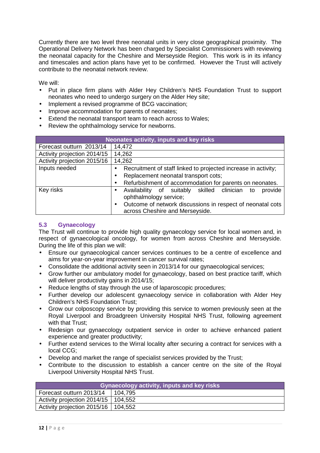Currently there are two level three neonatal units in very close geographical proximity. The Operational Delivery Network has been charged by Specialist Commissioners with reviewing the neonatal capacity for the Cheshire and Merseyside Region. This work is in its infancy and timescales and action plans have yet to be confirmed. However the Trust will actively contribute to the neonatal network review.

We will:

- Put in place firm plans with Alder Hey Children's NHS Foundation Trust to support neonates who need to undergo surgery on the Alder Hey site;
- Implement a revised programme of BCG vaccination:
- Improve accommodation for parents of neonates;
- Extend the neonatal transport team to reach across to Wales;
- Review the ophthalmology service for newborns.

| Neonates activity, inputs and key risks                                         |                                                                                                            |  |  |  |
|---------------------------------------------------------------------------------|------------------------------------------------------------------------------------------------------------|--|--|--|
| Forecast outturn 2013/14                                                        | 14,472                                                                                                     |  |  |  |
| Activity projection 2014/15                                                     | 14,262                                                                                                     |  |  |  |
| Activity projection 2015/16                                                     | 14,262                                                                                                     |  |  |  |
| Inputs needed<br>Recruitment of staff linked to projected increase in activity; |                                                                                                            |  |  |  |
|                                                                                 | Replacement neonatal transport cots;<br>$\bullet$                                                          |  |  |  |
|                                                                                 | Refurbishment of accommodation for parents on neonates.                                                    |  |  |  |
| Key risks                                                                       | provide<br>of suitably skilled clinician<br>Availability<br>to<br>$\bullet$<br>ophthalmology service;      |  |  |  |
|                                                                                 | Outcome of network discussions in respect of neonatal cots<br>$\bullet$<br>across Cheshire and Merseyside. |  |  |  |

#### **5.3 Gynaecology**

The Trust will continue to provide high quality gynaecology service for local women and, in respect of gynaecological oncology, for women from across Cheshire and Merseyside. During the life of this plan we will:

- Ensure our gynaecological cancer services continues to be a centre of excellence and aims for year-on-year improvement in cancer survival rates;
- Consolidate the additional activity seen in 2013/14 for our gynaecological services;
- Grow further our ambulatory model for gynaecology, based on best practice tariff, which will deliver productivity gains in 2014/15;
- Reduce lengths of stay through the use of laparoscopic procedures;
- Further develop our adolescent gynaecology service in collaboration with Alder Hey Children's NHS Foundation Trust;
- Grow our colposcopy service by providing this service to women previously seen at the Royal Liverpool and Broadgreen University Hospital NHS Trust, following agreement with that Trust:
- Redesign our gynaecology outpatient service in order to achieve enhanced patient experience and greater productivity;
- Further extend services to the Wirral locality after securing a contract for services with a local CCG;
- Develop and market the range of specialist services provided by the Trust;
- Contribute to the discussion to establish a cancer centre on the site of the Royal Liverpool University Hospital NHS Trust.

| <b>Gynaecology activity, inputs and key risks</b> |           |  |  |
|---------------------------------------------------|-----------|--|--|
| Forecast outturn 2013/14                          | l 104.795 |  |  |
| Activity projection 2014/15   104,552             |           |  |  |
| Activity projection 2015/16   104,552             |           |  |  |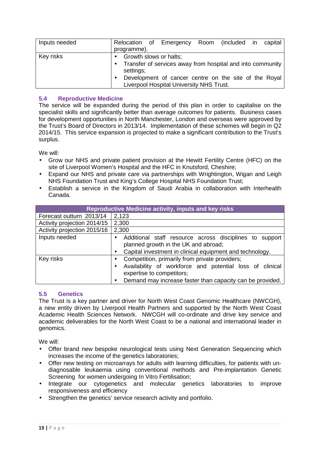| Inputs needed | Relocation of Emergency Room (included in<br>programme).                                                         |                                                                                                   |  | capital |
|---------------|------------------------------------------------------------------------------------------------------------------|---------------------------------------------------------------------------------------------------|--|---------|
| Key risks     | Growth slows or halts;<br>$\bullet$<br>• Transfer of services away from hospital and into community<br>settings; | Development of cancer centre on the site of the Royal<br>Liverpool Hospital University NHS Trust. |  |         |

#### **5.4 Reproductive Medicine**

The service will be expanded during the period of this plan in order to capitalise on the specialist skills and significantly better than average outcomes for patients. Business cases for development opportunities in North Manchester, London and overseas were approved by the Trust's Board of Directors in 2013/14. Implementation of these schemes will begin in Q2 2014/15. This service expansion is projected to make a significant contribution to the Trust's surplus.

We will:

- Grow our NHS and private patient provision at the Hewitt Fertility Centre (HFC) on the site of Liverpool Women's Hospital and the HFC in Knutsford, Cheshire;
- Expand our NHS and private care via partnerships with Wrightington, Wigan and Leigh NHS Foundation Trust and King's College Hospital NHS Foundation Trust;
- Establish a service in the Kingdom of Saudi Arabia in collaboration with Interhealth Canada.

|                             | <b>Reproductive Medicine activity, inputs and key risks</b>                                                                                                                                          |
|-----------------------------|------------------------------------------------------------------------------------------------------------------------------------------------------------------------------------------------------|
| Forecast outturn 2013/14    | 2,123                                                                                                                                                                                                |
| Activity projection 2014/15 | 2,300                                                                                                                                                                                                |
| Activity projection 2015/16 | 2,300                                                                                                                                                                                                |
| Inputs needed               | Additional staff resource across disciplines to support<br>planned growth in the UK and abroad;<br>Capital investment in clinical equipment and technology.                                          |
| Key risks                   | Competition, primarily from private providers;<br>Availability of workforce and potential loss of clinical<br>expertise to competitors;<br>Demand may increase faster than capacity can be provided. |

#### **5.5 Genetics**

The Trust is a key partner and driver for North West Coast Genomic Healthcare (NWCGH), a new entity driven by Liverpool Health Partners and supported by the North West Coast Academic Health Sciences Network. NWCGH will co-ordinate and drive key service and academic deliverables for the North West Coast to be a national and international leader in genomics.

We will:

- Offer brand new bespoke neurological tests using Next Generation Sequencing which increases the income of the genetics laboratories;
- Offer new testing on microarrays for adults with learning difficulties, for patients with undiagnosable leukaemia using conventional methods and Pre-implantation Genetic Screening for women undergoing In Vitro Fertilisation;
- Integrate our cytogenetics and molecular genetics laboratories to improve responsiveness and efficiency
- Strengthen the genetics' service research activity and portfolio.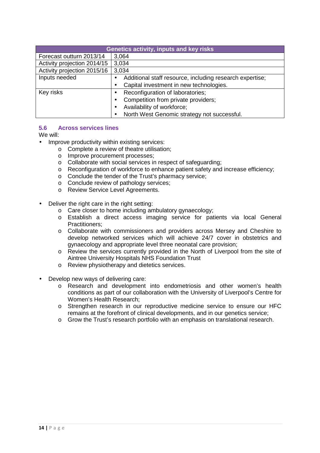| <b>Genetics activity, inputs and key risks</b> |                                                          |  |  |  |  |
|------------------------------------------------|----------------------------------------------------------|--|--|--|--|
| Forecast outturn 2013/14                       | 3,064                                                    |  |  |  |  |
| Activity projection 2014/15                    | 3,034                                                    |  |  |  |  |
| Activity projection 2015/16                    | 3,034                                                    |  |  |  |  |
| Inputs needed                                  | Additional staff resource, including research expertise; |  |  |  |  |
|                                                | Capital investment in new technologies.<br>$\bullet$     |  |  |  |  |
| Key risks                                      | Reconfiguration of laboratories;                         |  |  |  |  |
|                                                | Competition from private providers;<br>$\bullet$         |  |  |  |  |
|                                                | Availability of workforce;                               |  |  |  |  |
|                                                | North West Genomic strategy not successful.              |  |  |  |  |

#### **5.6 Across services lines**

We will:

- Improve productivity within existing services:
	- o Complete a review of theatre utilisation;
	- o Improve procurement processes;
	- o Collaborate with social services in respect of safeguarding;
	- o Reconfiguration of workforce to enhance patient safety and increase efficiency;
	- o Conclude the tender of the Trust's pharmacy service;
	- o Conclude review of pathology services;
	- o Review Service Level Agreements.
- Deliver the right care in the right setting:
	- o Care closer to home including ambulatory gynaecology;
	- o Establish a direct access imaging service for patients via local General Practitioners;
	- o Collaborate with commissioners and providers across Mersey and Cheshire to develop networked services which will achieve 24/7 cover in obstetrics and gynaecology and appropriate level three neonatal care provision;
	- o Review the services currently provided in the North of Liverpool from the site of Aintree University Hospitals NHS Foundation Trust
	- o Review physiotherapy and dietetics services.
- Develop new ways of delivering care:
	- o Research and development into endometriosis and other women's health conditions as part of our collaboration with the University of Liverpool's Centre for Women's Health Research;
	- o Strengthen research in our reproductive medicine service to ensure our HFC remains at the forefront of clinical developments, and in our genetics service;
	- o Grow the Trust's research portfolio with an emphasis on translational research.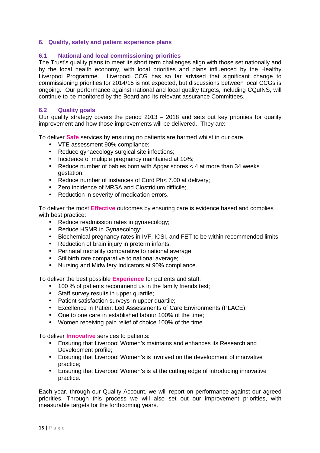#### **6. Quality, safety and patient experience plans**

#### **6.1 National and local commissioning priorities**

The Trust's quality plans to meet its short term challenges align with those set nationally and by the local health economy, with local priorities and plans influenced by the Healthy Liverpool Programme. Liverpool CCG has so far advised that significant change to commissioning priorities for 2014/15 is not expected, but discussions between local CCGs is ongoing. Our performance against national and local quality targets, including CQuINS, will continue to be monitored by the Board and its relevant assurance Committees.

#### **6.2 Quality goals**

Our quality strategy covers the period  $2013 - 2018$  and sets out key priorities for quality improvement and how those improvements will be delivered. They are:

To deliver **Safe** services by ensuring no patients are harmed whilst in our care.

- VTE assessment 90% compliance;
- Reduce gynaecology surgical site infections;
- Incidence of multiple pregnancy maintained at 10%;
- Reduce number of babies born with Apgar scores < 4 at more than 34 weeks gestation;
- Reduce number of instances of Cord Ph< 7.00 at delivery;
- Zero incidence of MRSA and Clostridium difficile;
- Reduction in severity of medication errors.

To deliver the most **Effective** outcomes by ensuring care is evidence based and complies with best practice:

- Reduce readmission rates in gynaecology;
- Reduce HSMR in Gynaecology;
- Biochemical pregnancy rates in IVF, ICSI, and FET to be within recommended limits;
- Reduction of brain injury in preterm infants;
- Perinatal mortality comparative to national average;
- Stillbirth rate comparative to national average:
- Nursing and Midwifery Indicators at 90% compliance.

To deliver the best possible **Experience** for patients and staff:

- 100 % of patients recommend us in the family friends test;
- Staff survey results in upper quartile;
- Patient satisfaction surveys in upper quartile;
- Excellence in Patient Led Assessments of Care Environments (PLACE);
- One to one care in established labour 100% of the time;
- Women receiving pain relief of choice 100% of the time.

To deliver **Innovative** services to patients:

- Ensuring that Liverpool Women's maintains and enhances its Research and Development profile;
- Ensuring that Liverpool Women's is involved on the development of innovative practice;
- Ensuring that Liverpool Women's is at the cutting edge of introducing innovative practice.

Each year, through our Quality Account, we will report on performance against our agreed priorities. Through this process we will also set out our improvement priorities, with measurable targets for the forthcoming years.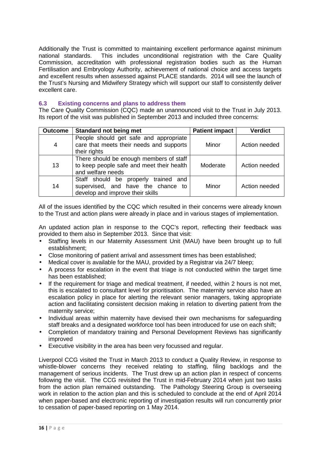Additionally the Trust is committed to maintaining excellent performance against minimum national standards. This includes unconditional registration with the Care Quality Commission, accreditation with professional registration bodies such as the Human Fertilisation and Embryology Authority, achievement of national choice and access targets and excellent results when assessed against PLACE standards. 2014 will see the launch of the Trust's Nursing and Midwifery Strategy which will support our staff to consistently deliver excellent care.

#### **6.3 Existing concerns and plans to address them**

The Care Quality Commission (CQC) made an unannounced visit to the Trust in July 2013. Its report of the visit was published in September 2013 and included three concerns:

| <b>Outcome</b> | <b>Standard not being met</b>                                                                                  | <b>Patient impact</b> | <b>Verdict</b> |
|----------------|----------------------------------------------------------------------------------------------------------------|-----------------------|----------------|
| $\overline{4}$ | People should get safe and appropriate<br>care that meets their needs and supports<br>their rights             | Minor                 | Action needed  |
| 13             | There should be enough members of staff<br>to keep people safe and meet their health<br>and welfare needs      | Moderate              | Action needed  |
| 14             | Staff should be properly trained and<br>supervised, and have the chance to<br>develop and improve their skills | Minor                 | Action needed  |

All of the issues identified by the CQC which resulted in their concerns were already known to the Trust and action plans were already in place and in various stages of implementation.

An updated action plan in response to the CQC's report, reflecting their feedback was provided to them also in September 2013. Since that visit:

- Staffing levels in our Maternity Assessment Unit (MAU) have been brought up to full establishment;
- Close monitoring of patient arrival and assessment times has been established;
- Medical cover is available for the MAU, provided by a Registrar via 24/7 bleep;
- A process for escalation in the event that triage is not conducted within the target time has been established;
- If the requirement for triage and medical treatment, if needed, within 2 hours is not met, this is escalated to consultant level for prioritisation. The maternity service also have an escalation policy in place for alerting the relevant senior managers, taking appropriate action and facilitating consistent decision making in relation to diverting patient from the maternity service;
- Individual areas within maternity have devised their own mechanisms for safeguarding staff breaks and a designated workforce tool has been introduced for use on each shift;
- Completion of mandatory training and Personal Development Reviews has significantly improved
- Executive visibility in the area has been very focussed and regular.

Liverpool CCG visited the Trust in March 2013 to conduct a Quality Review, in response to whistle-blower concerns they received relating to staffing, filing backlogs and the management of serious incidents. The Trust drew up an action plan in respect of concerns following the visit. The CCG revisited the Trust in mid-February 2014 when just two tasks from the action plan remained outstanding. The Pathology Steering Group is overseeing work in relation to the action plan and this is scheduled to conclude at the end of April 2014 when paper-based and electronic reporting of investigation results will run concurrently prior to cessation of paper-based reporting on 1 May 2014.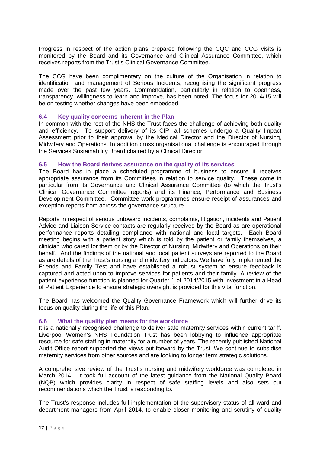Progress in respect of the action plans prepared following the CQC and CCG visits is monitored by the Board and its Governance and Clinical Assurance Committee, which receives reports from the Trust's Clinical Governance Committee.

The CCG have been complimentary on the culture of the Organisation in relation to identification and management of Serious Incidents, recognising the significant progress made over the past few years. Commendation, particularly in relation to openness, transparency, willingness to learn and improve, has been noted. The focus for 2014/15 will be on testing whether changes have been embedded.

#### **6.4 Key quality concerns inherent in the Plan**

In common with the rest of the NHS the Trust faces the challenge of achieving both quality and efficiency. To support delivery of its CIP, all schemes undergo a Quality Impact Assessment prior to their approval by the Medical Director and the Director of Nursing, Midwifery and Operations. In addition cross organisational challenge is encouraged through the Services Sustainability Board chaired by a Clinical Director

#### **6.5 How the Board derives assurance on the quality of its services**

The Board has in place a scheduled programme of business to ensure it receives appropriate assurance from its Committees in relation to service quality. These come in particular from its Governance and Clinical Assurance Committee (to which the Trust's Clinical Governance Committee reports) and its Finance, Performance and Business Development Committee. Committee work programmes ensure receipt of assurances and exception reports from across the governance structure.

Reports in respect of serious untoward incidents, complaints, litigation, incidents and Patient Advice and Liaison Service contacts are regularly received by the Board as are operational performance reports detailing compliance with national and local targets. Each Board meeting begins with a patient story which is told by the patient or family themselves, a clinician who cared for them or by the Director of Nursing, Midwifery and Operations on their behalf. And the findings of the national and local patient surveys are reported to the Board as are details of the Trust's nursing and midwifery indicators. We have fully implemented the Friends and Family Test and have established a robust system to ensure feedback is captured and acted upon to improve services for patients and their family. A review of the patient experience function is planned for Quarter 1 of 2014/2015 with investment in a Head of Patient Experience to ensure strategic oversight is provided for this vital function.

The Board has welcomed the Quality Governance Framework which will further drive its focus on quality during the life of this Plan.

#### **6.6 What the quality plan means for the workforce**

It is a nationally recognised challenge to deliver safe maternity services within current tariff. Liverpool Women's NHS Foundation Trust has been lobbying to influence appropriate resource for safe staffing in maternity for a number of years. The recently published National Audit Office report supported the views put forward by the Trust. We continue to subsidise maternity services from other sources and are looking to longer term strategic solutions.

A comprehensive review of the Trust's nursing and midwifery workforce was completed in March 2014. It took full account of the latest guidance from the National Quality Board (NQB) which provides clarity in respect of safe staffing levels and also sets out recommendations which the Trust is responding to.

The Trust's response includes full implementation of the supervisory status of all ward and department managers from April 2014, to enable closer monitoring and scrutiny of quality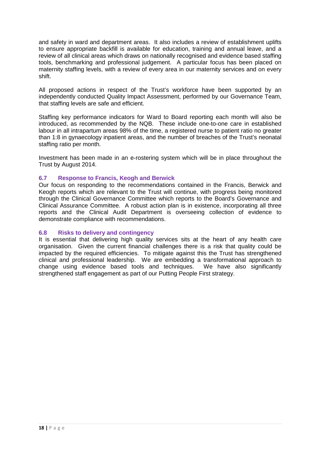and safety in ward and department areas. It also includes a review of establishment uplifts to ensure appropriate backfill is available for education, training and annual leave, and a review of all clinical areas which draws on nationally recognised and evidence based staffing tools, benchmarking and professional judgement. A particular focus has been placed on maternity staffing levels, with a review of every area in our maternity services and on every shift.

All proposed actions in respect of the Trust's workforce have been supported by an independently conducted Quality Impact Assessment, performed by our Governance Team, that staffing levels are safe and efficient.

Staffing key performance indicators for Ward to Board reporting each month will also be introduced, as recommended by the NQB. These include one-to-one care in established labour in all intrapartum areas 98% of the time, a registered nurse to patient ratio no greater than 1:8 in gynaecology inpatient areas, and the number of breaches of the Trust's neonatal staffing ratio per month.

Investment has been made in an e-rostering system which will be in place throughout the Trust by August 2014.

#### **6.7 Response to Francis, Keogh and Berwick**

Our focus on responding to the recommendations contained in the Francis, Berwick and Keogh reports which are relevant to the Trust will continue, with progress being monitored through the Clinical Governance Committee which reports to the Board's Governance and Clinical Assurance Committee. A robust action plan is in existence, incorporating all three reports and the Clinical Audit Department is overseeing collection of evidence to demonstrate compliance with recommendations.

#### **6.8 Risks to delivery and contingency**

It is essential that delivering high quality services sits at the heart of any health care organisation. Given the current financial challenges there is a risk that quality could be impacted by the required efficiencies. To mitigate against this the Trust has strengthened clinical and professional leadership. We are embedding a transformational approach to change using evidence based tools and techniques. We have also significantly strengthened staff engagement as part of our Putting People First strategy.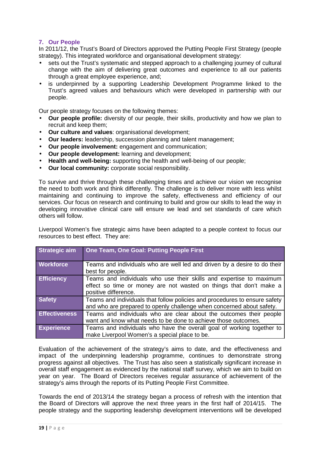#### **7. Our People**

In 2011/12, the Trust's Board of Directors approved the Putting People First Strategy (people strategy). This integrated workforce and organisational development strategy:

- sets out the Trust's systematic and stepped approach to a challenging journey of cultural change with the aim of delivering great outcomes and experience to all our patients through a great employee experience, and;
- is underpinned by a supporting Leadership Development Programme linked to the Trust's agreed values and behaviours which were developed in partnership with our people.

Our people strategy focuses on the following themes:

- **Our people profile:** diversity of our people, their skills, productivity and how we plan to recruit and keep them;
- **Our culture and values**: organisational development;
- **Our leaders:** leadership, succession planning and talent management;
- **Our people involvement:** engagement and communication;
- **Our people development:** learning and development;
- **Health and well-being:** supporting the health and well-being of our people;
- **Our local community:** corporate social responsibility.

To survive and thrive through these challenging times and achieve our vision we recognise the need to both work and think differently. The challenge is to deliver more with less whilst maintaining and continuing to improve the safety, effectiveness and efficiency of our services. Our focus on research and continuing to build and grow our skills to lead the way in developing innovative clinical care will ensure we lead and set standards of care which others will follow.

Liverpool Women's five strategic aims have been adapted to a people context to focus our resources to best effect. They are:

| <b>Strategic aim</b> | One Team, One Goal: Putting People First                                                                                                                          |
|----------------------|-------------------------------------------------------------------------------------------------------------------------------------------------------------------|
| <b>Workforce</b>     | Teams and individuals who are well led and driven by a desire to do their<br>best for people.                                                                     |
| <b>Efficiency</b>    | Teams and individuals who use their skills and expertise to maximum<br>effect so time or money are not wasted on things that don't make a<br>positive difference. |
| <b>Safety</b>        | Teams and individuals that follow policies and procedures to ensure safety<br>and who are prepared to openly challenge when concerned about safety.               |
| <b>Effectiveness</b> | Teams and individuals who are clear about the outcomes their people<br>want and know what needs to be done to achieve those outcomes.                             |
| <b>Experience</b>    | Teams and individuals who have the overall goal of working together to<br>make Liverpool Women's a special place to be.                                           |

Evaluation of the achievement of the strategy's aims to date, and the effectiveness and impact of the underpinning leadership programme, continues to demonstrate strong progress against all objectives. The Trust has also seen a statistically significant increase in overall staff engagement as evidenced by the national staff survey, which we aim to build on year on year. The Board of Directors receives regular assurance of achievement of the strategy's aims through the reports of its Putting People First Committee.

Towards the end of 2013/14 the strategy began a process of refresh with the intention that the Board of Directors will approve the next three years in the first half of 2014/15. The people strategy and the supporting leadership development interventions will be developed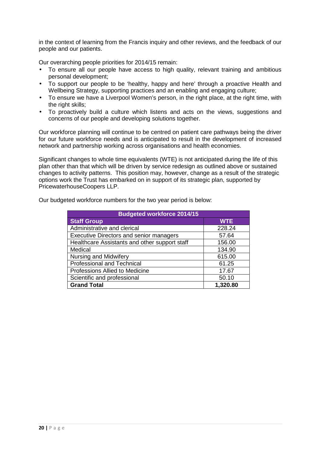in the context of learning from the Francis inquiry and other reviews, and the feedback of our people and our patients.

Our overarching people priorities for 2014/15 remain:

- To ensure all our people have access to high quality, relevant training and ambitious personal development;
- To support our people to be 'healthy, happy and here' through a proactive Health and Wellbeing Strategy, supporting practices and an enabling and engaging culture;
- To ensure we have a Liverpool Women's person, in the right place, at the right time, with the right skills;
- To proactively build a culture which listens and acts on the views, suggestions and concerns of our people and developing solutions together.

Our workforce planning will continue to be centred on patient care pathways being the driver for our future workforce needs and is anticipated to result in the development of increased network and partnership working across organisations and health economies.

Significant changes to whole time equivalents (WTE) is not anticipated during the life of this plan other than that which will be driven by service redesign as outlined above or sustained changes to activity patterns. This position may, however, change as a result of the strategic options work the Trust has embarked on in support of its strategic plan, supported by PricewaterhouseCoopers LLP.

| <b>Budgeted workforce 2014/15</b>              |            |  |  |  |
|------------------------------------------------|------------|--|--|--|
| <b>Staff Group</b>                             | <b>WTE</b> |  |  |  |
| Administrative and clerical                    | 228.24     |  |  |  |
| <b>Executive Directors and senior managers</b> | 57.64      |  |  |  |
| Healthcare Assistants and other support staff  | 156.00     |  |  |  |
| Medical                                        | 134.90     |  |  |  |
| <b>Nursing and Midwifery</b>                   | 615.00     |  |  |  |
| <b>Professional and Technical</b>              | 61.25      |  |  |  |
| Professions Allied to Medicine                 | 17.67      |  |  |  |
| Scientific and professional                    | 50.10      |  |  |  |
| <b>Grand Total</b>                             | 1,320.80   |  |  |  |

Our budgeted workforce numbers for the two year period is below: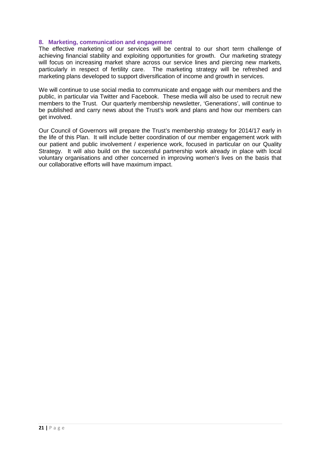#### **8. Marketing, communication and engagement**

The effective marketing of our services will be central to our short term challenge of achieving financial stability and exploiting opportunities for growth. Our marketing strategy will focus on increasing market share across our service lines and piercing new markets, particularly in respect of fertility care. The marketing strategy will be refreshed and marketing plans developed to support diversification of income and growth in services.

We will continue to use social media to communicate and engage with our members and the public, in particular via Twitter and Facebook. These media will also be used to recruit new members to the Trust. Our quarterly membership newsletter, 'Generations', will continue to be published and carry news about the Trust's work and plans and how our members can get involved.

Our Council of Governors will prepare the Trust's membership strategy for 2014/17 early in the life of this Plan. It will include better coordination of our member engagement work with our patient and public involvement / experience work, focused in particular on our Quality Strategy. It will also build on the successful partnership work already in place with local voluntary organisations and other concerned in improving women's lives on the basis that our collaborative efforts will have maximum impact.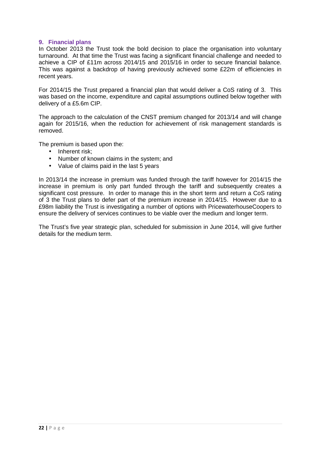#### **9. Financial plans**

In October 2013 the Trust took the bold decision to place the organisation into voluntary turnaround. At that time the Trust was facing a significant financial challenge and needed to achieve a CIP of £11m across 2014/15 and 2015/16 in order to secure financial balance. This was against a backdrop of having previously achieved some £22m of efficiencies in recent years.

For 2014/15 the Trust prepared a financial plan that would deliver a CoS rating of 3. This was based on the income, expenditure and capital assumptions outlined below together with delivery of a £5.6m CIP.

The approach to the calculation of the CNST premium changed for 2013/14 and will change again for 2015/16, when the reduction for achievement of risk management standards is removed.

The premium is based upon the:

- Inherent risk:
- Number of known claims in the system: and
- Value of claims paid in the last 5 years

In 2013/14 the increase in premium was funded through the tariff however for 2014/15 the increase in premium is only part funded through the tariff and subsequently creates a significant cost pressure. In order to manage this in the short term and return a CoS rating of 3 the Trust plans to defer part of the premium increase in 2014/15. However due to a £98m liability the Trust is investigating a number of options with PricewaterhouseCoopers to ensure the delivery of services continues to be viable over the medium and longer term.

The Trust's five year strategic plan, scheduled for submission in June 2014, will give further details for the medium term.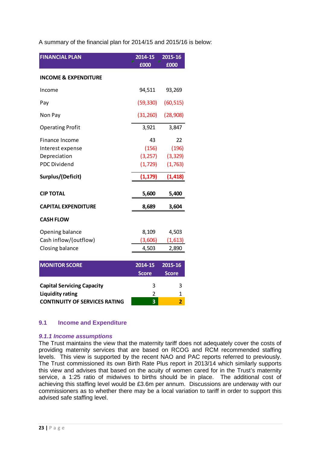A summary of the financial plan for 2014/15 and 2015/16 is below:

| <b>FINANCIAL PLAN</b>                     | 2014-15<br>£000         | 2015-16<br>£000 |
|-------------------------------------------|-------------------------|-----------------|
| <b>INCOME &amp; EXPENDITURE</b>           |                         |                 |
| Income                                    | 94,511                  | 93,269          |
| Pay                                       | (59, 330)               | (60, 515)       |
| Non Pay                                   | (31, 260)               | (28, 908)       |
| <b>Operating Profit</b>                   | 3,921                   | 3,847           |
| <b>Finance Income</b><br>Interest expense | 43<br>(156)             | 22<br>(196)     |
| Depreciation                              | (3,257)                 | (3, 329)        |
| <b>PDC Dividend</b>                       | (1, 729)                | (1,763)         |
| Surplus/(Deficit)                         | (1, 179)                | (1, 418)        |
| <b>CIP TOTAL</b>                          | 5,600                   | 5,400           |
| <b>CAPITAL EXPENDITURE</b>                | 8,689                   | 3,604           |
| <b>CASH FLOW</b>                          |                         |                 |
| Opening balance                           | 8,109                   | 4,503           |
| Cash inflow/(outflow)                     | (3,606)                 | (1,613)         |
| Closing balance                           | 4,503                   | 2,890           |
| <b>MONITOR SCORE</b>                      | 2014-15                 | 2015-16         |
|                                           | <b>Score</b>            | <b>Score</b>    |
| <b>Capital Servicing Capacity</b>         | 3                       | 3               |
| <b>Liquidity rating</b>                   | $\overline{\mathbf{c}}$ | $\mathbf 1$     |
| <b>CONTINUITY OF SERVICES RATING</b>      | 3                       | $\overline{2}$  |

#### **9.1 Income and Expenditure**

#### **9.1.1 Income assumptions**

The Trust maintains the view that the maternity tariff does not adequately cover the costs of providing maternity services that are based on RCOG and RCM recommended staffing levels. This view is supported by the recent NAO and PAC reports referred to previously. The Trust commissioned its own Birth Rate Plus report in 2013/14 which similarly supports this view and advises that based on the acuity of women cared for in the Trust's maternity service, a 1:25 ratio of midwives to births should be in place. The additional cost of achieving this staffing level would be £3.6m per annum. Discussions are underway with our commissioners as to whether there may be a local variation to tariff in order to support this advised safe staffing level.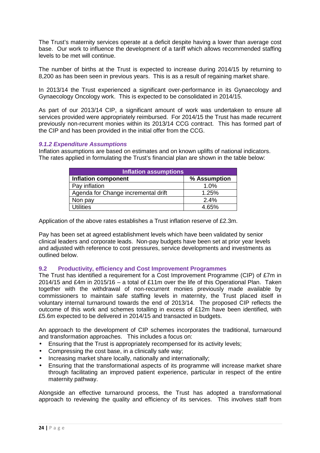The Trust's maternity services operate at a deficit despite having a lower than average cost base. Our work to influence the development of a tariff which allows recommended staffing levels to be met will continue.

The number of births at the Trust is expected to increase during 2014/15 by returning to 8,200 as has been seen in previous years. This is as a result of regaining market share.

In 2013/14 the Trust experienced a significant over-performance in its Gynaecology and Gynaecology Oncology work. This is expected to be consolidated in 2014/15.

As part of our 2013/14 CIP, a significant amount of work was undertaken to ensure all services provided were appropriately reimbursed. For 2014/15 the Trust has made recurrent previously non-recurrent monies within its 2013/14 CCG contract. This has formed part of the CIP and has been provided in the initial offer from the CCG.

#### **9.1.2 Expenditure Assumptions**

Inflation assumptions are based on estimates and on known uplifts of national indicators. The rates applied in formulating the Trust's financial plan are shown in the table below:

| <b>Inflation assumptions</b>        |              |  |  |  |
|-------------------------------------|--------------|--|--|--|
| <b>Inflation component</b>          | % Assumption |  |  |  |
| Pay inflation                       | 1.0%         |  |  |  |
| Agenda for Change incremental drift | 1.25%        |  |  |  |
| Non pay                             | 2.4%         |  |  |  |
| Utilities                           | 4.65%        |  |  |  |

Application of the above rates establishes a Trust inflation reserve of £2.3m.

Pay has been set at agreed establishment levels which have been validated by senior clinical leaders and corporate leads. Non-pay budgets have been set at prior year levels and adjusted with reference to cost pressures, service developments and investments as outlined below.

#### **9.2 Productivity, efficiency and Cost Improvement Programmes**

The Trust has identified a requirement for a Cost Improvement Programme (CIP) of £7m in 2014/15 and £4m in 2015/16 – a total of £11m over the life of this Operational Plan. Taken together with the withdrawal of non-recurrent monies previously made available by commissioners to maintain safe staffing levels in maternity, the Trust placed itself in voluntary internal turnaround towards the end of 2013/14. The proposed CIP reflects the outcome of this work and schemes totalling in excess of  $£12m$  have been identified, with £5.6m expected to be delivered in 2014/15 and transacted in budgets.

An approach to the development of CIP schemes incorporates the traditional, turnaround and transformation approaches. This includes a focus on:

- Ensuring that the Trust is appropriately recompensed for its activity levels;
- Compressing the cost base, in a clinically safe way;
- Increasing market share locally, nationally and internationally;
- Ensuring that the transformational aspects of its programme will increase market share through facilitating an improved patient experience, particular in respect of the entire maternity pathway.

Alongside an effective turnaround process, the Trust has adopted a transformational approach to reviewing the quality and efficiency of its services. This involves staff from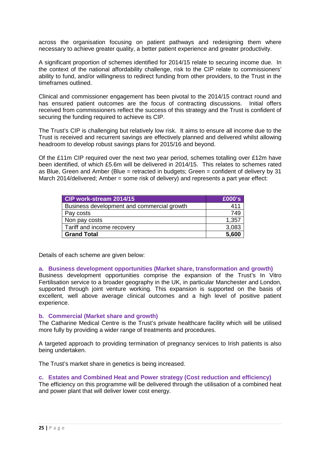across the organisation focusing on patient pathways and redesigning them where necessary to achieve greater quality, a better patient experience and greater productivity.

A significant proportion of schemes identified for 2014/15 relate to securing income due. In the context of the national affordability challenge, risk to the CIP relate to commissioners' ability to fund, and/or willingness to redirect funding from other providers, to the Trust in the timeframes outlined.

Clinical and commissioner engagement has been pivotal to the 2014/15 contract round and has ensured patient outcomes are the focus of contracting discussions. Initial offers received from commissioners reflect the success of this strategy and the Trust is confident of securing the funding required to achieve its CIP.

The Trust's CIP is challenging but relatively low risk. It aims to ensure all income due to the Trust is received and recurrent savings are effectively planned and delivered whilst allowing headroom to develop robust savings plans for 2015/16 and beyond.

Of the £11m CIP required over the next two year period, schemes totalling over £12m have been identified, of which £5.6m will be delivered in 2014/15. This relates to schemes rated as Blue, Green and Amber (Blue = retracted in budgets; Green = confident of delivery by 31 March 2014/delivered; Amber = some risk of delivery) and represents a part year effect:

| CIP work-stream 2014/15                    | £000's |
|--------------------------------------------|--------|
| Business development and commercial growth | 411    |
| Pay costs                                  | 749    |
| Non pay costs                              | 1,357  |
| Tariff and income recovery                 | 3,083  |
| <b>Grand Total</b>                         | 5,600  |

Details of each scheme are given below:

#### **a. Business development opportunities (Market share, transformation and growth)**

Business development opportunities comprise the expansion of the Trust's In Vitro Fertilisation service to a broader geography in the UK, in particular Manchester and London, supported through joint venture working. This expansion is supported on the basis of excellent, well above average clinical outcomes and a high level of positive patient experience.

#### **b. Commercial (Market share and growth)**

The Catharine Medical Centre is the Trust's private healthcare facility which will be utilised more fully by providing a wider range of treatments and procedures.

A targeted approach to providing termination of pregnancy services to Irish patients is also being undertaken.

The Trust's market share in genetics is being increased.

#### **c. Estates and Combined Heat and Power strategy (Cost reduction and efficiency)**

The efficiency on this programme will be delivered through the utilisation of a combined heat and power plant that will deliver lower cost energy.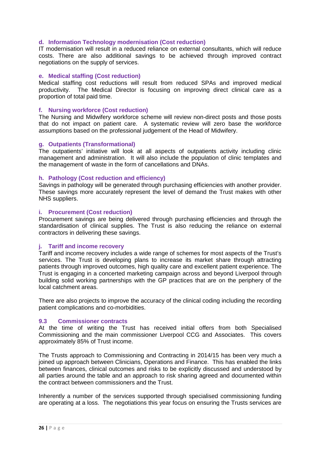#### **d. Information Technology modernisation (Cost reduction)**

IT modernisation will result in a reduced reliance on external consultants, which will reduce costs. There are also additional savings to be achieved through improved contract negotiations on the supply of services.

#### **e. Medical staffing (Cost reduction)**

Medical staffing cost reductions will result from reduced SPAs and improved medical productivity. The Medical Director is focusing on improving direct clinical care as a proportion of total paid time.

#### **f. Nursing workforce (Cost reduction)**

The Nursing and Midwifery workforce scheme will review non-direct posts and those posts that do not impact on patient care. A systematic review will zero base the workforce assumptions based on the professional judgement of the Head of Midwifery.

#### **g. Outpatients (Transformational)**

The outpatients' initiative will look at all aspects of outpatients activity including clinic management and administration. It will also include the population of clinic templates and the management of waste in the form of cancellations and DNAs.

#### **h. Pathology (Cost reduction and efficiency)**

Savings in pathology will be generated through purchasing efficiencies with another provider. These savings more accurately represent the level of demand the Trust makes with other NHS suppliers.

#### **i. Procurement (Cost reduction)**

Procurement savings are being delivered through purchasing efficiencies and through the standardisation of clinical supplies. The Trust is also reducing the reliance on external contractors in delivering these savings.

#### **j. Tariff and income recovery**

Tariff and income recovery includes a wide range of schemes for most aspects of the Trust's services. The Trust is developing plans to increase its market share through attracting patients through improved outcomes, high quality care and excellent patient experience. The Trust is engaging in a concerted marketing campaign across and beyond Liverpool through building solid working partnerships with the GP practices that are on the periphery of the local catchment areas.

There are also projects to improve the accuracy of the clinical coding including the recording patient complications and co-morbidities.

#### **9.3 Commissioner contracts**

At the time of writing the Trust has received initial offers from both Specialised Commissioning and the main commissioner Liverpool CCG and Associates. This covers approximately 85% of Trust income.

The Trusts approach to Commissioning and Contracting in 2014/15 has been very much a joined up approach between Clinicians, Operations and Finance. This has enabled the links between finances, clinical outcomes and risks to be explicitly discussed and understood by all parties around the table and an approach to risk sharing agreed and documented within the contract between commissioners and the Trust.

Inherently a number of the services supported through specialised commissioning funding are operating at a loss. The negotiations this year focus on ensuring the Trusts services are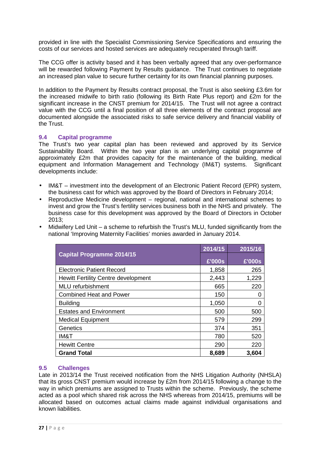provided in line with the Specialist Commissioning Service Specifications and ensuring the costs of our services and hosted services are adequately recuperated through tariff.

The CCG offer is activity based and it has been verbally agreed that any over-performance will be rewarded following Payment by Results guidance. The Trust continues to negotiate an increased plan value to secure further certainty for its own financial planning purposes.

In addition to the Payment by Results contract proposal, the Trust is also seeking £3.6m for the increased midwife to birth ratio (following its Birth Rate Plus report) and £2m for the significant increase in the CNST premium for 2014/15. The Trust will not agree a contract value with the CCG until a final position of all three elements of the contract proposal are documented alongside the associated risks to safe service delivery and financial viability of the Trust.

#### **9.4 Capital programme**

The Trust's two year capital plan has been reviewed and approved by its Service Sustainability Board. Within the two year plan is an underlying capital programme of approximately £2m that provides capacity for the maintenance of the building, medical equipment and Information Management and Technology (IM&T) systems. Significant developments include:

- IM&T investment into the development of an Electronic Patient Record (EPR) system, the business cast for which was approved by the Board of Directors in February 2014;
- Reproductive Medicine development regional, national and international schemes to invest and grow the Trust's fertility services business both in the NHS and privately. The business case for this development was approved by the Board of Directors in October 2013;
- Midwifery Led Unit a scheme to refurbish the Trust's MLU, funded significantly from the national 'Improving Maternity Facilities' monies awarded in January 2014.

|                                            | 2014/15 | 2015/16 |
|--------------------------------------------|---------|---------|
| <b>Capital Programme 2014/15</b>           | E'000s  | £'000s  |
| <b>Electronic Patient Record</b>           | 1,858   | 265     |
| <b>Hewitt Fertility Centre development</b> | 2,443   | 1,229   |
| <b>MLU</b> refurbishment                   | 665     | 220     |
| <b>Combined Heat and Power</b>             | 150     | O       |
| <b>Building</b>                            | 1,050   | O       |
| <b>Estates and Environment</b>             | 500     | 500     |
| <b>Medical Equipment</b>                   | 579     | 299     |
| Genetics                                   | 374     | 351     |
| IM&T                                       | 780     | 520     |
| <b>Hewitt Centre</b>                       | 290     | 220     |
| <b>Grand Total</b>                         | 8,689   | 3,604   |

#### **9.5 Challenges**

Late in 2013/14 the Trust received notification from the NHS Litigation Authority (NHSLA) that its gross CNST premium would increase by £2m from 2014/15 following a change to the way in which premiums are assigned to Trusts within the scheme. Previously, the scheme acted as a pool which shared risk across the NHS whereas from 2014/15, premiums will be allocated based on outcomes actual claims made against individual organisations and known liabilities.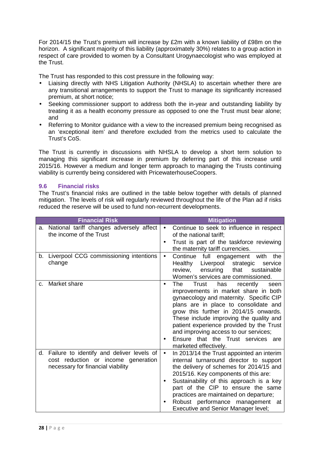For 2014/15 the Trust's premium will increase by £2m with a known liability of £98m on the horizon. A significant majority of this liability (approximately 30%) relates to a group action in respect of care provided to women by a Consultant Urogynaecologist who was employed at the Trust.

The Trust has responded to this cost pressure in the following way:

- Liaising directly with NHS Litigation Authority (NHSLA) to ascertain whether there are any transitional arrangements to support the Trust to manage its significantly increased premium, at short notice;
- Seeking commissioner support to address both the in-year and outstanding liability by treating it as a health economy pressure as opposed to one the Trust must bear alone; and
- Referring to Monitor guidance with a view to the increased premium being recognised as an 'exceptional item' and therefore excluded from the metrics used to calculate the Trust's CoS.

The Trust is currently in discussions with NHSLA to develop a short term solution to managing this significant increase in premium by deferring part of this increase until 2015/16. However a medium and longer term approach to managing the Trusts continuing viability is currently being considered with PricewaterhouseCoopers.

#### **9.6 Financial risks**

The Trust's financial risks are outlined in the table below together with details of planned mitigation. The levels of risk will regularly reviewed throughout the life of the Plan ad if risks reduced the reserve will be used to fund non-recurrent developments.

| <b>Financial Risk</b>                                                                                                       | <b>Mitigation</b>                                                                                                                                                                                                                                                                                                                                                                                                        |
|-----------------------------------------------------------------------------------------------------------------------------|--------------------------------------------------------------------------------------------------------------------------------------------------------------------------------------------------------------------------------------------------------------------------------------------------------------------------------------------------------------------------------------------------------------------------|
| a. National tariff changes adversely affect<br>the income of the Trust                                                      | Continue to seek to influence in respect<br>of the national tariff;<br>Trust is part of the taskforce reviewing<br>$\bullet$<br>the maternity tariff currencies.                                                                                                                                                                                                                                                         |
| b. Liverpool CCG commissioning intentions<br>change                                                                         | Continue<br>full engagement with<br>the<br>$\bullet$<br>Healthy<br>Liverpool<br>strategic<br>service<br>that<br>sustainable<br>review,<br>ensuring<br>Women's services are commissioned.                                                                                                                                                                                                                                 |
| Market share<br>C.                                                                                                          | The<br>Trust<br>has<br>recently<br>seen<br>$\bullet$<br>improvements in market share in both<br>gynaecology and maternity. Specific CIP<br>plans are in place to consolidate and<br>grow this further in 2014/15 onwards.<br>These include improving the quality and<br>patient experience provided by the Trust<br>and improving access to our services;<br>Ensure that the Trust services are<br>marketed effectively. |
| Failure to identify and deliver levels of<br>d.<br>cost reduction or income generation<br>necessary for financial viability | In 2013/14 the Trust appointed an interim<br>$\bullet$<br>internal turnaround director to support<br>the delivery of schemes for 2014/15 and<br>2015/16. Key components of this are:<br>Sustainability of this approach is a key<br>part of the CIP to ensure the same<br>practices are maintained on departure;<br>Robust performance management at<br><b>Executive and Senior Manager level;</b>                       |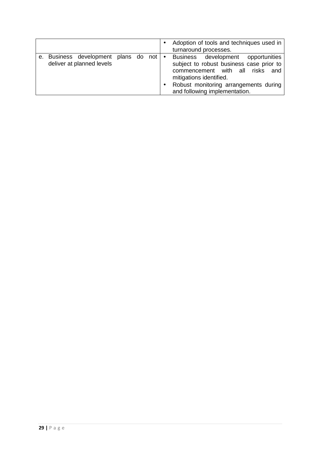|                                                                             |  |  | Adoption of tools and techniques used in<br>turnaround processes.                                                                                                                                                                   |
|-----------------------------------------------------------------------------|--|--|-------------------------------------------------------------------------------------------------------------------------------------------------------------------------------------------------------------------------------------|
| e. Business development plans do not $\bullet$<br>deliver at planned levels |  |  | <b>Business</b><br>development opportunities<br>subject to robust business case prior to<br>commencement with all risks<br>and<br>mitigations identified.<br>Robust monitoring arrangements during<br>and following implementation. |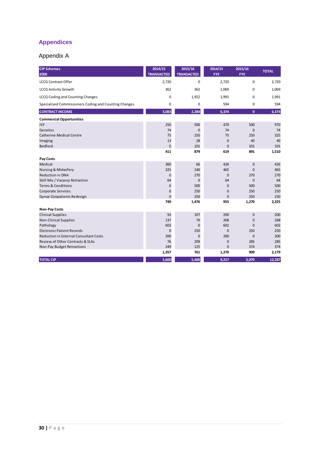# **Appendices**

### Appendix A

| <b>CIP Schemes</b><br>£000                            | 2014/15<br><b>TRANSACTED</b> | 2015/16<br><b>TRANSACTED</b> | 2014/15<br><b>FYE</b> | 2015/16<br><b>FYE</b> | <b>TOTAL</b> |
|-------------------------------------------------------|------------------------------|------------------------------|-----------------------|-----------------------|--------------|
| <b>LCCG Contract Offer</b>                            | 2,720                        | $\mathbf 0$                  | 2,720                 | $\mathbf 0$           | 2,720        |
| <b>LCCG Activity Growth</b>                           | 362                          | 362                          | 1,069                 | $\mathbf 0$           | 1,069        |
| <b>LCCG Coding and Counting Changes</b>               | $\mathbf 0$                  | 1,922                        | 1,991                 | 0                     | 1,991        |
| Specialised Commissioners Coding and Counting Changes | 0                            | 0                            | 594                   | 0                     | 594          |
| <b>CONTRACT INCOME</b>                                | 3,083                        | 2,284                        | 6,374                 | $\mathbf{0}$          | 6,374        |
| <b>Commercial Opportunities</b>                       |                              |                              |                       |                       |              |
| <b>IVF</b>                                            | 250                          | 500                          | 470                   | 500                   | 970          |
| Genetics                                              | 74                           | $\mathbf{0}$                 | 74                    | $\mathbf 0$           | 74           |
| <b>Catherine Medical Centre</b>                       | 75                           | 250                          | 75                    | 250                   | 325          |
| Imaging                                               | 13                           | 28                           | $\mathbf 0$           | 40                    | 40           |
| Bedford                                               | $\mathbf 0$                  | 101                          | $\mathbf{0}$          | 101                   | 101          |
|                                                       | 411                          | 879                          | 619                   | 891                   | 1,510        |
| Pay Costs                                             |                              |                              |                       |                       |              |
| Medical                                               | 360                          | 66                           | 426                   | $\mathbf 0$           | 426          |
| Nursing & Midwifery                                   | 325                          | 140                          | 465                   | $\mathbf{0}$          | 465          |
| <b>Reduction in DNA</b>                               | $\overline{0}$               | 270                          | $\mathbf{0}$          | 270                   | 270          |
| Skill Mix / Vacancy Retraction                        | 64                           | $\mathbf 0$                  | 64                    | $\mathbf{0}$          | 64           |
| <b>Terms &amp; Conditions</b>                         | $\pmb{0}$                    | 500                          | $\mathbf 0$           | 500                   | 500          |
| Corporate Services                                    | $\mathbf 0$                  | 250                          | $\mathbf{0}$          | 250                   | 250          |
| Gynae Outpatients Redesign                            | $\overline{0}$               | 250                          | $\mathbf 0$           | 250                   | 250          |
|                                                       | 749                          | 1,476                        | 955                   | 1,270                 | 2,225        |
| <b>Non-Pay Costs</b>                                  |                              |                              |                       |                       |              |
| <b>Clinical Supplies</b>                              | 93                           | 107                          | 200                   | $\mathbf 0$           | 200          |
| <b>Non-Clinical Supplies</b>                          | 137                          | 70                           | 268                   | $\mathbf 0$           | 268          |
| Pathology                                             | 602                          | $\mathbf{0}$                 | 602                   | $\Omega$              | 602          |
| <b>Electronic Patient Records</b>                     | $\mathbf 0$                  | 250                          | $\mathbf 0$           | 250                   | 250          |
| <b>Reduction in External Consultant Costs</b>         | 200                          | $\mathbf 0$                  | 200                   | $\mathbf 0$           | 200          |
| Review of Other Contracts & SLAs                      | 76                           | 209                          | $\mathbf 0$           | 285                   | 285          |
| Non-Pay Budget Retractions                            | 249                          | 125                          | $\mathbf 0$           | 374                   | 374          |
|                                                       | 1,357                        | 761                          | 1,270                 | 909                   | 2,179        |
| <b>TOTAL CIP</b>                                      | 5,600                        | 5,400                        | 9,217                 | 3,070                 | 12,287       |